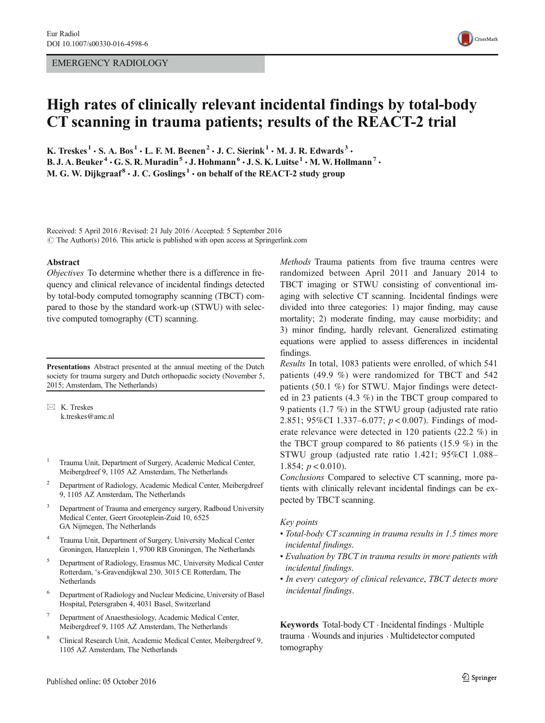#### EMERGENCY RADIOLOGY



# High rates of clinically relevant incidental findings by total-body CT scanning in trauma patients; results of the REACT-2 trial

K. Treskes<sup>1</sup>  $\cdot$  S. A. Bos<sup>1</sup>  $\cdot$  L. F. M. Beenen<sup>2</sup>  $\cdot$  J. C. Sierink<sup>1</sup>  $\cdot$  M. J. R. Edwards<sup>3</sup>  $\cdot$ B. J. A. Beuker<sup>4</sup>  $\cdot$  G. S. R. Muradin<sup>5</sup>  $\cdot$  J. Hohmann<sup>6</sup>  $\cdot$  J. S. K. Luitse<sup>1</sup>  $\cdot$  M. W. Hollmann<sup>7</sup>  $\cdot$ M. G. W. Dijkgraaf<sup>8</sup>  $\cdot$  J. C. Goslings<sup>1</sup>  $\cdot$  on behalf of the REACT-2 study group

Received: 5 April 2016 /Revised: 21 July 2016 /Accepted: 5 September 2016  $\odot$  The Author(s) 2016. This article is published with open access at Springerlink.com

#### Abstract

Objectives To determine whether there is a difference in frequency and clinical relevance of incidental findings detected by total-body computed tomography scanning (TBCT) compared to those by the standard work-up (STWU) with selective computed tomography (CT) scanning.

Presentations Abstract presented at the annual meeting of the Dutch society for trauma surgery and Dutch orthopaedic society (November 5, 2015; Amsterdam, The Netherlands)

 $\boxtimes$  K. Treskes k.treskes@amc.nl

- <sup>1</sup> Trauma Unit, Department of Surgery, Academic Medical Center, Meibergdreef 9, 1105 AZ Amsterdam, The Netherlands
- <sup>2</sup> Department of Radiology, Academic Medical Center, Meibergdreef 9, 1105 AZ Amsterdam, The Netherlands
- <sup>3</sup> Department of Trauma and emergency surgery, Radboud University Medical Center, Geert Grooteplein-Zuid 10, 6525 GA Nijmegen, The Netherlands
- <sup>4</sup> Trauma Unit, Department of Surgery, University Medical Center Groningen, Hanzeplein 1, 9700 RB Groningen, The Netherlands
- <sup>5</sup> Department of Radiology, Erasmus MC, University Medical Center Rotterdam, 's-Gravendijkwal 230, 3015 CE Rotterdam, The Netherlands
- <sup>6</sup> Department of Radiology and Nuclear Medicine, University of Basel Hospital, Petersgraben 4, 4031 Basel, Switzerland
- <sup>7</sup> Department of Anaesthesiology, Academic Medical Center, Meibergdreef 9, 1105 AZ Amsterdam, The Netherlands
- <sup>8</sup> Clinical Research Unit, Academic Medical Center, Meibergdreef 9, 1105 AZ Amsterdam, The Netherlands

Methods Trauma patients from five trauma centres were randomized between April 2011 and January 2014 to TBCT imaging or STWU consisting of conventional imaging with selective CT scanning. Incidental findings were divided into three categories: 1) major finding, may cause mortality; 2) moderate finding, may cause morbidity; and 3) minor finding, hardly relevant. Generalized estimating equations were applied to assess differences in incidental findings.

Results In total, 1083 patients were enrolled, of which 541 patients (49.9 %) were randomized for TBCT and 542 patients (50.1 %) for STWU. Major findings were detected in 23 patients (4.3 %) in the TBCT group compared to 9 patients (1.7 %) in the STWU group (adjusted rate ratio 2.851; 95%CI 1.337–6.077; p < 0.007). Findings of moderate relevance were detected in 120 patients (22.2 %) in the TBCT group compared to 86 patients (15.9 %) in the STWU group (adjusted rate ratio 1.421; 95%CI 1.088– 1.854;  $p < 0.010$ ).

Conclusions Compared to selective CT scanning, more patients with clinically relevant incidental findings can be expected by TBCT scanning.

#### Key points

- Total-body CT scanning in trauma results in 1.5 times more incidental findings.
- Evaluation by TBCT in trauma results in more patients with incidental findings.
- In every category of clinical relevance, TBCT detects more incidental findings.

Keywords Total-body CT . Incidental findings . Multiple trauma . Wounds and injuries . Multidetector computed tomography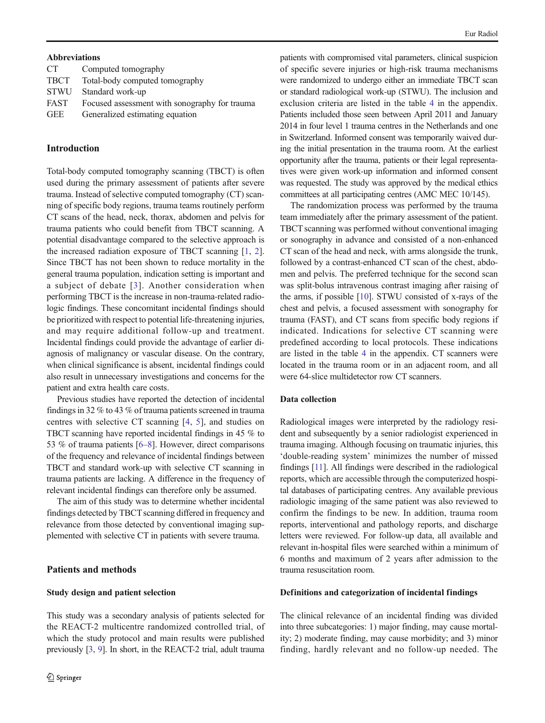#### Abbreviations

| CT <sup>-</sup> | Computed tomography                           |
|-----------------|-----------------------------------------------|
| <b>TBCT</b>     | Total-body computed tomography                |
| <b>STWU</b>     | Standard work-up                              |
| FAST            | Focused assessment with sonography for trauma |
| <b>GEE</b>      | Generalized estimating equation               |

#### Introduction

Total-body computed tomography scanning (TBCT) is often used during the primary assessment of patients after severe trauma. Instead of selective computed tomography (CT) scanning of specific body regions, trauma teams routinely perform CT scans of the head, neck, thorax, abdomen and pelvis for trauma patients who could benefit from TBCT scanning. A potential disadvantage compared to the selective approach is the increased radiation exposure of TBCT scanning [\[1](#page-11-0), [2](#page-11-0)]. Since TBCT has not been shown to reduce mortality in the general trauma population, indication setting is important and a subject of debate [[3](#page-11-0)]. Another consideration when performing TBCT is the increase in non-trauma-related radiologic findings. These concomitant incidental findings should be prioritized with respect to potential life-threatening injuries, and may require additional follow-up and treatment. Incidental findings could provide the advantage of earlier diagnosis of malignancy or vascular disease. On the contrary, when clinical significance is absent, incidental findings could also result in unnecessary investigations and concerns for the patient and extra health care costs.

Previous studies have reported the detection of incidental findings in 32 % to 43 % of trauma patients screened in trauma centres with selective CT scanning [[4,](#page-11-0) [5](#page-11-0)], and studies on TBCT scanning have reported incidental findings in 45 % to 53 % of trauma patients [[6](#page-11-0)–[8](#page-11-0)]. However, direct comparisons of the frequency and relevance of incidental findings between TBCT and standard work-up with selective CT scanning in trauma patients are lacking. A difference in the frequency of relevant incidental findings can therefore only be assumed.

The aim of this study was to determine whether incidental findings detected by TBCT scanning differed in frequency and relevance from those detected by conventional imaging supplemented with selective CT in patients with severe trauma.

### Patients and methods

#### Study design and patient selection

This study was a secondary analysis of patients selected for the REACT-2 multicentre randomized controlled trial, of which the study protocol and main results were published previously [\[3,](#page-11-0) [9\]](#page-11-0). In short, in the REACT-2 trial, adult trauma

patients with compromised vital parameters, clinical suspicion of specific severe injuries or high-risk trauma mechanisms were randomized to undergo either an immediate TBCT scan or standard radiological work-up (STWU). The inclusion and exclusion criteria are listed in the table [4](#page-6-0) in the appendix. Patients included those seen between April 2011 and January 2014 in four level 1 trauma centres in the Netherlands and one in Switzerland. Informed consent was temporarily waived during the initial presentation in the trauma room. At the earliest opportunity after the trauma, patients or their legal representatives were given work-up information and informed consent was requested. The study was approved by the medical ethics committees at all participating centres (AMC MEC 10/145).

The randomization process was performed by the trauma team immediately after the primary assessment of the patient. TBCT scanning was performed without conventional imaging or sonography in advance and consisted of a non-enhanced CT scan of the head and neck, with arms alongside the trunk, followed by a contrast-enhanced CT scan of the chest, abdomen and pelvis. The preferred technique for the second scan was split-bolus intravenous contrast imaging after raising of the arms, if possible [\[10\]](#page-11-0). STWU consisted of x-rays of the chest and pelvis, a focused assessment with sonography for trauma (FAST), and CT scans from specific body regions if indicated. Indications for selective CT scanning were predefined according to local protocols. These indications are listed in the table [4](#page-6-0) in the appendix. CT scanners were located in the trauma room or in an adjacent room, and all were 64-slice multidetector row CT scanners.

#### Data collection

Radiological images were interpreted by the radiology resident and subsequently by a senior radiologist experienced in trauma imaging. Although focusing on traumatic injuries, this 'double-reading system' minimizes the number of missed findings [[11](#page-11-0)]. All findings were described in the radiological reports, which are accessible through the computerized hospital databases of participating centres. Any available previous radiologic imaging of the same patient was also reviewed to confirm the findings to be new. In addition, trauma room reports, interventional and pathology reports, and discharge letters were reviewed. For follow-up data, all available and relevant in-hospital files were searched within a minimum of 6 months and maximum of 2 years after admission to the trauma resuscitation room.

#### Definitions and categorization of incidental findings

The clinical relevance of an incidental finding was divided into three subcategories: 1) major finding, may cause mortality; 2) moderate finding, may cause morbidity; and 3) minor finding, hardly relevant and no follow-up needed. The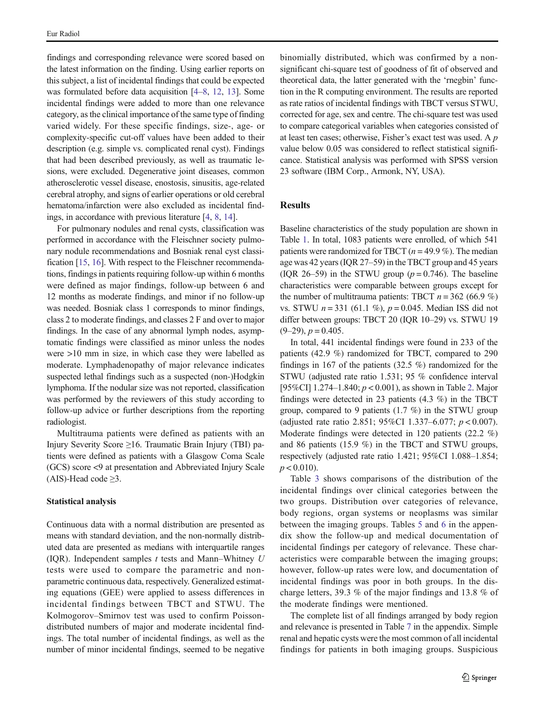findings and corresponding relevance were scored based on the latest information on the finding. Using earlier reports on this subject, a list of incidental findings that could be expected was formulated before data acquisition [[4](#page-11-0)–[8](#page-11-0), [12](#page-11-0), [13\]](#page-11-0). Some incidental findings were added to more than one relevance category, as the clinical importance of the same type of finding varied widely. For these specific findings, size-, age- or complexity-specific cut-off values have been added to their description (e.g. simple vs. complicated renal cyst). Findings that had been described previously, as well as traumatic lesions, were excluded. Degenerative joint diseases, common atherosclerotic vessel disease, enostosis, sinusitis, age-related cerebral atrophy, and signs of earlier operations or old cerebral hematoma/infarction were also excluded as incidental findings, in accordance with previous literature [[4](#page-11-0), [8](#page-11-0), [14](#page-11-0)].

For pulmonary nodules and renal cysts, classification was performed in accordance with the Fleischner society pulmonary nodule recommendations and Bosniak renal cyst classification [[15,](#page-11-0) [16](#page-11-0)]. With respect to the Fleischner recommendations, findings in patients requiring follow-up within 6 months were defined as major findings, follow-up between 6 and 12 months as moderate findings, and minor if no follow-up was needed. Bosniak class 1 corresponds to minor findings, class 2 to moderate findings, and classes 2 F and over to major findings. In the case of any abnormal lymph nodes, asymptomatic findings were classified as minor unless the nodes were >10 mm in size, in which case they were labelled as moderate. Lymphadenopathy of major relevance indicates suspected lethal findings such as a suspected (non-)Hodgkin lymphoma. If the nodular size was not reported, classification was performed by the reviewers of this study according to follow-up advice or further descriptions from the reporting radiologist.

Multitrauma patients were defined as patients with an Injury Severity Score ≥16. Traumatic Brain Injury (TBI) patients were defined as patients with a Glasgow Coma Scale (GCS) score <9 at presentation and Abbreviated Injury Scale (AIS)-Head code  $\geq$ 3.

#### Statistical analysis

Continuous data with a normal distribution are presented as means with standard deviation, and the non-normally distributed data are presented as medians with interquartile ranges (IQR). Independent samples  $t$  tests and Mann–Whitney  $U$ tests were used to compare the parametric and nonparametric continuous data, respectively. Generalized estimating equations (GEE) were applied to assess differences in incidental findings between TBCT and STWU. The Kolmogorov–Smirnov test was used to confirm Poissondistributed numbers of major and moderate incidental findings. The total number of incidental findings, as well as the number of minor incidental findings, seemed to be negative binomially distributed, which was confirmed by a nonsignificant chi-square test of goodness of fit of observed and theoretical data, the latter generated with the 'rnegbin' function in the R computing environment. The results are reported as rate ratios of incidental findings with TBCT versus STWU, corrected for age, sex and centre. The chi-square test was used to compare categorical variables when categories consisted of at least ten cases; otherwise, Fisher's exact test was used. A p value below 0.05 was considered to reflect statistical significance. Statistical analysis was performed with SPSS version 23 software (IBM Corp., Armonk, NY, USA).

### Results

Baseline characteristics of the study population are shown in Table [1.](#page-3-0) In total, 1083 patients were enrolled, of which 541 patients were randomized for TBCT ( $n = 49.9\%$ ). The median age was 42 years (IQR 27–59) in the TBCT group and 45 years (IQR 26–59) in the STWU group ( $p = 0.746$ ). The baseline characteristics were comparable between groups except for the number of multitrauma patients: TBCT  $n = 362 (66.9 %)$ vs. STWU  $n = 331$  (61.1 %),  $p = 0.045$ . Median ISS did not differ between groups: TBCT 20 (IQR 10–29) vs. STWU 19  $(9-29)$ ,  $p = 0.405$ .

In total, 441 incidental findings were found in 233 of the patients (42.9 %) randomized for TBCT, compared to 290 findings in 167 of the patients (32.5 %) randomized for the STWU (adjusted rate ratio 1.531; 95 % confidence interval [95%CI] 1.274–1.840; p < 0.001), as shown in Table [2.](#page-3-0) Major findings were detected in 23 patients (4.3 %) in the TBCT group, compared to 9 patients (1.7 %) in the STWU group (adjusted rate ratio 2.851; 95%CI 1.337–6.077; p < 0.007). Moderate findings were detected in 120 patients (22.2 %) and 86 patients (15.9 %) in the TBCT and STWU groups, respectively (adjusted rate ratio 1.421; 95%CI 1.088–1.854;  $p < 0.010$ ).

Table [3](#page-4-0) shows comparisons of the distribution of the incidental findings over clinical categories between the two groups. Distribution over categories of relevance, body regions, organ systems or neoplasms was similar between the imaging groups. Tables [5](#page-7-0) and [6](#page-7-0) in the appendix show the follow-up and medical documentation of incidental findings per category of relevance. These characteristics were comparable between the imaging groups; however, follow-up rates were low, and documentation of incidental findings was poor in both groups. In the discharge letters, 39.3 % of the major findings and 13.8 % of the moderate findings were mentioned.

The complete list of all findings arranged by body region and relevance is presented in Table [7](#page-8-0) in the appendix. Simple renal and hepatic cysts were the most common of all incidental findings for patients in both imaging groups. Suspicious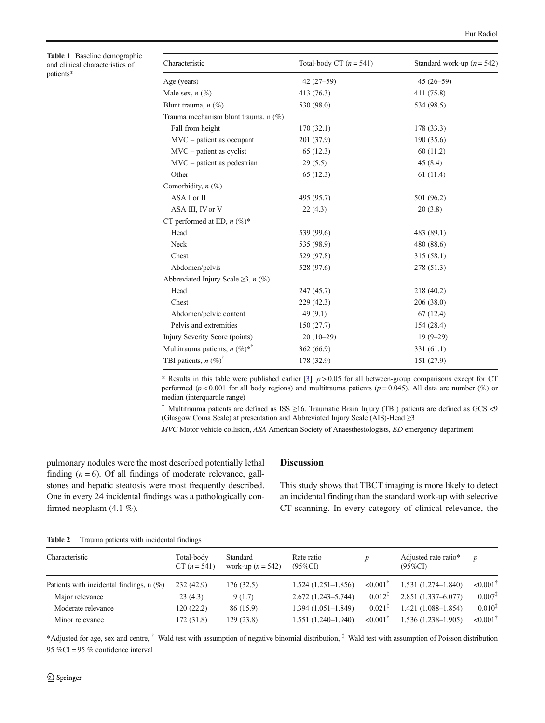<span id="page-3-0"></span>Table 1 Baseline demographic and clinical characteristics of patients\*

| Characteristic                                  | Total-body CT $(n = 541)$ | Standard work-up ( $n = 542$ ) |
|-------------------------------------------------|---------------------------|--------------------------------|
| Age (years)                                     | $42(27-59)$               | $45(26 - 59)$                  |
| Male sex, $n(\%)$                               | 413 (76.3)                | 411 (75.8)                     |
| Blunt trauma, $n$ (%)                           | 530 (98.0)                | 534 (98.5)                     |
| Trauma mechanism blunt trauma, n (%)            |                           |                                |
| Fall from height                                | 170(32.1)                 | 178 (33.3)                     |
| $MVC$ – patient as occupant                     | 201 (37.9)                | 190 (35.6)                     |
| $MVC$ – patient as cyclist                      | 65 (12.3)                 | 60(11.2)                       |
| $MVC$ – patient as pedestrian                   | 29(5.5)                   | 45(8.4)                        |
| Other                                           | 65(12.3)                  | 61(11.4)                       |
| Comorbidity, $n$ (%)                            |                           |                                |
| ASA I or II                                     | 495 (95.7)                | 501 (96.2)                     |
| ASA III, IV or V                                | 22(4.3)                   | 20(3.8)                        |
| CT performed at ED, $n$ (%)*                    |                           |                                |
| Head                                            | 539 (99.6)                | 483 (89.1)                     |
| Neck                                            | 535 (98.9)                | 480 (88.6)                     |
| Chest                                           | 529 (97.8)                | 315(58.1)                      |
| Abdomen/pelvis                                  | 528 (97.6)                | 278 (51.3)                     |
| Abbreviated Injury Scale $\geq$ 3, <i>n</i> (%) |                           |                                |
| Head                                            | 247 (45.7)                | 218 (40.2)                     |
| Chest                                           | 229 (42.3)                | 206(38.0)                      |
| Abdomen/pelvic content                          | 49(9.1)                   | 67(12.4)                       |
| Pelvis and extremities                          | 150(27.7)                 | 154 (28.4)                     |
| Injury Severity Score (points)                  | $20(10-29)$               | $19(9-29)$                     |
| Multitrauma patients, $n (\%)^{*^{\dagger}}$    | 362(66.9)                 | 331(61.1)                      |
| TBI patients, $n$ (%) <sup>†</sup>              | 178 (32.9)                | 151 (27.9)                     |

\* Results in this table were published earlier [\[3\]](#page-11-0).  $p > 0.05$  for all between-group comparisons except for CT performed ( $p < 0.001$  for all body regions) and multitrauma patients ( $p = 0.045$ ). All data are number (%) or median (interquartile range)

† Multitrauma patients are defined as ISS ≥16. Traumatic Brain Injury (TBI) patients are defined as GCS <9 (Glasgow Coma Scale) at presentation and Abbreviated Injury Scale (AIS)-Head ≥3

MVC Motor vehicle collision, ASA American Society of Anaesthesiologists, ED emergency department

pulmonary nodules were the most described potentially lethal finding  $(n = 6)$ . Of all findings of moderate relevance, gallstones and hepatic steatosis were most frequently described. One in every 24 incidental findings was a pathologically confirmed neoplasm (4.1 %).

#### Discussion

This study shows that TBCT imaging is more likely to detect an incidental finding than the standard work-up with selective CT scanning. In every category of clinical relevance, the

| Table 2 |  |  | Trauma patients with incidental findings |  |
|---------|--|--|------------------------------------------|--|
|---------|--|--|------------------------------------------|--|

| Characteristic                             | Total-body<br>$CT (n = 541)$ | Standard<br>work-up $(n = 542)$ | Rate ratio<br>$(95\%CI)$ |                        | Adjusted rate ratio*<br>$(95\%CI)$ |                        |
|--------------------------------------------|------------------------------|---------------------------------|--------------------------|------------------------|------------------------------------|------------------------|
| Patients with incidental findings, $n$ (%) | 232(42.9)                    | 176(32.5)                       | $1.524(1.251 - 1.856)$   | $< 0.001$ <sup>T</sup> | $1.531(1.274 - 1.840)$             | $\leq 0.001^{\dagger}$ |
| Major relevance                            | 23(4.3)                      | 9(1.7)                          | $2.672(1.243 - 5.744)$   | $0.012^{4}$            | $2.851(1.337 - 6.077)$             | $0.007^{\ddagger}$     |
| Moderate relevance                         | 120 (22.2)                   | 86 (15.9)                       | $1.394(1.051-1.849)$     | $0.021^{4}$            | $1.421(1.088 - 1.854)$             | $0.010^{1}$            |
| Minor relevance                            | 172 (31.8)                   | 129(23.8)                       | $1.551(1.240 - 1.940)$   | $\leq 0.001^{\dagger}$ | $1.536(1.238 - 1.905)$             | $< 0.001^{\dagger}$    |

\*Adjusted for age, sex and centre, † Wald test with assumption of negative binomial distribution, ‡ Wald test with assumption of Poisson distribution 95 %CI = 95 % confidence interval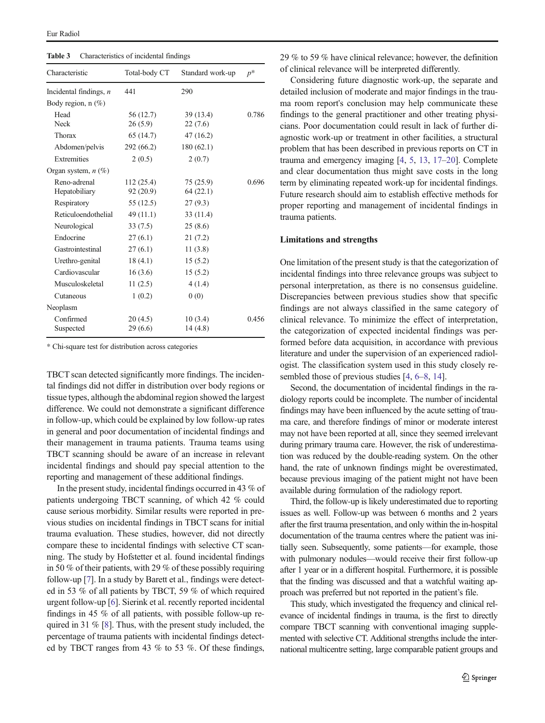<span id="page-4-0"></span>Table 3 Characteristics of incidental findings

| Characteristic                | Total-body CT         | Standard work-up     | $p^*$ |  |
|-------------------------------|-----------------------|----------------------|-------|--|
| Incidental findings, $n$      | 441                   | 290                  |       |  |
| Body region, $n$ $(\%)$       |                       |                      |       |  |
| Head<br><b>Neck</b>           | 56 (12.7)<br>26(5.9)  | 39 (13.4)<br>22(7.6) | 0.786 |  |
| Thorax                        | 65 (14.7)             | 47 (16.2)            |       |  |
| Abdomen/pelvis                | 292 (66.2)            | 180(62.1)            |       |  |
| Extremities                   | 2(0.5)                | 2(0.7)               |       |  |
| Organ system, $n$ (%)         |                       |                      |       |  |
| Reno-adrenal<br>Hepatobiliary | 112(25.4)<br>92(20.9) | 75(25.9)<br>64(22.1) | 0.696 |  |
| Respiratory                   | 55(12.5)              | 27(9.3)              |       |  |
| Reticuloendothelial           | 49 (11.1)             | 33 (11.4)            |       |  |
| Neurological                  | 33(7.5)               | 25(8.6)              |       |  |
| Endocrine                     | 27(6.1)               | 21(7.2)              |       |  |
| Gastrointestinal              | 27(6.1)               | 11(3.8)              |       |  |
| Urethro-genital               | 18(4.1)               | 15(5.2)              |       |  |
| Cardiovascular                | 16(3.6)               | 15(5.2)              |       |  |
| Musculoskeletal               | 11(2.5)               | 4(1.4)               |       |  |
| Cutaneous                     | 1(0.2)                | 0(0)                 |       |  |
| Neoplasm                      |                       |                      |       |  |
| Confirmed<br>Suspected        | 20(4.5)<br>29(6.6)    | 10(3.4)<br>14(4.8)   | 0.456 |  |

\* Chi-square test for distribution across categories

TBCT scan detected significantly more findings. The incidental findings did not differ in distribution over body regions or tissue types, although the abdominal region showed the largest difference. We could not demonstrate a significant difference in follow-up, which could be explained by low follow-up rates in general and poor documentation of incidental findings and their management in trauma patients. Trauma teams using TBCT scanning should be aware of an increase in relevant incidental findings and should pay special attention to the reporting and management of these additional findings.

In the present study, incidental findings occurred in 43 % of patients undergoing TBCT scanning, of which 42 % could cause serious morbidity. Similar results were reported in previous studies on incidental findings in TBCT scans for initial trauma evaluation. These studies, however, did not directly compare these to incidental findings with selective CT scanning. The study by Hofstetter et al. found incidental findings in 50 % of their patients, with 29 % of these possibly requiring follow-up [[7](#page-11-0)]. In a study by Barett et al., findings were detected in 53 % of all patients by TBCT, 59 % of which required urgent follow-up [\[6\]](#page-11-0). Sierink et al. recently reported incidental findings in 45 % of all patients, with possible follow-up required in 31 % [\[8](#page-11-0)]. Thus, with the present study included, the percentage of trauma patients with incidental findings detected by TBCT ranges from 43 % to 53 %. Of these findings,

29 % to 59 % have clinical relevance; however, the definition of clinical relevance will be interpreted differently.

Considering future diagnostic work-up, the separate and detailed inclusion of moderate and major findings in the trauma room report's conclusion may help communicate these findings to the general practitioner and other treating physicians. Poor documentation could result in lack of further diagnostic work-up or treatment in other facilities, a structural problem that has been described in previous reports on CT in trauma and emergency imaging [\[4,](#page-11-0) [5](#page-11-0), [13,](#page-11-0) [17](#page-11-0)–[20\]](#page-11-0). Complete and clear documentation thus might save costs in the long term by eliminating repeated work-up for incidental findings. Future research should aim to establish effective methods for proper reporting and management of incidental findings in trauma patients.

#### Limitations and strengths

One limitation of the present study is that the categorization of incidental findings into three relevance groups was subject to personal interpretation, as there is no consensus guideline. Discrepancies between previous studies show that specific findings are not always classified in the same category of clinical relevance. To minimize the effect of interpretation, the categorization of expected incidental findings was performed before data acquisition, in accordance with previous literature and under the supervision of an experienced radiologist. The classification system used in this study closely resembled those of previous studies [\[4](#page-11-0), [6](#page-11-0)–[8](#page-11-0), [14\]](#page-11-0).

Second, the documentation of incidental findings in the radiology reports could be incomplete. The number of incidental findings may have been influenced by the acute setting of trauma care, and therefore findings of minor or moderate interest may not have been reported at all, since they seemed irrelevant during primary trauma care. However, the risk of underestimation was reduced by the double-reading system. On the other hand, the rate of unknown findings might be overestimated, because previous imaging of the patient might not have been available during formulation of the radiology report.

Third, the follow-up is likely underestimated due to reporting issues as well. Follow-up was between 6 months and 2 years after the first trauma presentation, and only within the in-hospital documentation of the trauma centres where the patient was initially seen. Subsequently, some patients—for example, those with pulmonary nodules—would receive their first follow-up after 1 year or in a different hospital. Furthermore, it is possible that the finding was discussed and that a watchful waiting approach was preferred but not reported in the patient's file.

This study, which investigated the frequency and clinical relevance of incidental findings in trauma, is the first to directly compare TBCT scanning with conventional imaging supplemented with selective CT. Additional strengths include the international multicentre setting, large comparable patient groups and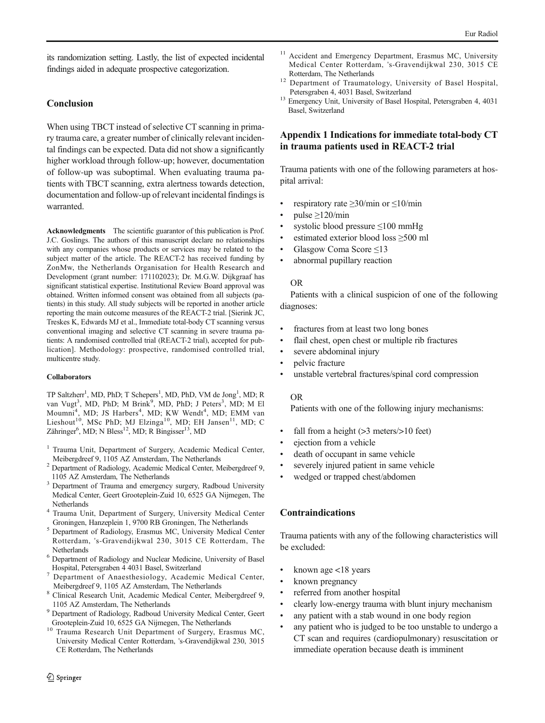its randomization setting. Lastly, the list of expected incidental findings aided in adequate prospective categorization.

## Conclusion

When using TBCT instead of selective CT scanning in primary trauma care, a greater number of clinically relevant incidental findings can be expected. Data did not show a significantly higher workload through follow-up; however, documentation of follow-up was suboptimal. When evaluating trauma patients with TBCT scanning, extra alertness towards detection, documentation and follow-up of relevant incidental findings is warranted.

Acknowledgments The scientific guarantor of this publication is Prof. J.C. Goslings. The authors of this manuscript declare no relationships with any companies whose products or services may be related to the subject matter of the article. The REACT-2 has received funding by ZonMw, the Netherlands Organisation for Health Research and Development (grant number: 171102023); Dr. M.G.W. Dijkgraaf has significant statistical expertise. Institutional Review Board approval was obtained. Written informed consent was obtained from all subjects (patients) in this study. All study subjects will be reported in another article reporting the main outcome measures of the REACT-2 trial. [Sierink JC, Treskes K, Edwards MJ et al., Immediate total-body CT scanning versus conventional imaging and selective CT scanning in severe trauma patients: A randomised controlled trial (REACT-2 trial), accepted for publication]. Methodology: prospective, randomised controlled trial, multicentre study.

#### Collaborators

TP Saltzherr<sup>1</sup>, MD, PhD; T Schepers<sup>1</sup>, MD, PhD, VM de Jong<sup>1</sup>, MD; R van Vugt<sup>3</sup>, MD, PhD; M Brink<sup>9</sup>, MD, PhD; J Peters<sup>3</sup>, MD; M El Moumni<sup>4</sup>, MD; JS Harbers<sup>4</sup>, MD; KW Wendt<sup>4</sup>, MD; EMM van Lieshout<sup>10</sup>, MSc PhD; MJ Elzinga<sup>10</sup>, MD; EH Jansen<sup>11</sup>, MD; C Zähringer<sup>6</sup>, MD; N Bless<sup>12</sup>, MD; R Bingisser<sup>13</sup>, MD

- <sup>1</sup> Trauma Unit, Department of Surgery, Academic Medical Center, Meibergdreef 9, 1105 AZ Amsterdam, The Netherlands
- <sup>2</sup> Department of Radiology, Academic Medical Center, Meibergdreef 9, 1105 AZ Amsterdam, The Netherlands
- <sup>3</sup> Department of Trauma and emergency surgery, Radboud University Medical Center, Geert Grooteplein-Zuid 10, 6525 GA Nijmegen, The
- Netherlands <sup>4</sup> Trauma Unit, Department of Surgery, University Medical Center
- Groningen, Hanzeplein 1, 9700 RB Groningen, The Netherlands <sup>5</sup> Department of Radiology, Erasmus MC, University Medical Center Rotterdam, 's-Gravendijkwal 230, 3015 CE Rotterdam, The
- Netherlands<br><sup>6</sup> Department of Radiology and Nuclear Medicine, University of Basel Hospital, Petersgraben 4 4031 Basel, Switzerland
- <sup>7</sup> Department of Anaesthesiology, Academic Medical Center, Meibergdreef 9, 1105 AZ Amsterdam, The Netherlands <sup>8</sup> Clinical Research Unit, Academic Medical Center, Meibergdreef 9,
- 1105 AZ Amsterdam, The Netherlands<br><sup>9</sup> Department of Radiology, Radboud University Medical Center, Geert
- Grooteplein-Zuid 10, 6525 GA Nijmegen, The Netherlands
- <sup>10</sup> Trauma Research Unit Department of Surgery, Erasmus MC, University Medical Center Rotterdam, 's-Gravendijkwal 230, 3015 CE Rotterdam, The Netherlands
- <sup>11</sup> Accident and Emergency Department, Erasmus MC, University Medical Center Rotterdam, 's-Gravendijkwal 230, 3015 CE
- Rotterdam, The Netherlands <sup>12</sup> Department of Traumatology, University of Basel Hospital,
- Petersgraben 4, 4031 Basel, Switzerland <sup>13</sup> Emergency Unit, University of Basel Hospital, Petersgraben 4, 4031 Basel, Switzerland

### Appendix 1 Indications for immediate total-body CT in trauma patients used in REACT-2 trial

Trauma patients with one of the following parameters at hospital arrival:

- respiratory rate  $\geq$ 30/min or  $\leq$ 10/min
- $pulse \geq 120/min$
- systolic blood pressure  $\leq 100$  mmHg
- estimated exterior blood loss ≥500 ml
- & Glasgow Coma Score ≤13
- abnormal pupillary reaction

#### OR

Patients with a clinical suspicion of one of the following diagnoses:

- fractures from at least two long bones
- flail chest, open chest or multiple rib fractures
- severe abdominal injury
- pelvic fracture
- unstable vertebral fractures/spinal cord compression

#### OR

Patients with one of the following injury mechanisms:

- fall from a height (>3 meters/>10 feet)
- ejection from a vehicle
- death of occupant in same vehicle
- severely injured patient in same vehicle
- wedged or trapped chest/abdomen

### Contraindications

Trauma patients with any of the following characteristics will be excluded:

- & known age <18 years
- known pregnancy
- referred from another hospital
- & clearly low-energy trauma with blunt injury mechanism
- any patient with a stab wound in one body region
- any patient who is judged to be too unstable to undergo a CT scan and requires (cardiopulmonary) resuscitation or immediate operation because death is imminent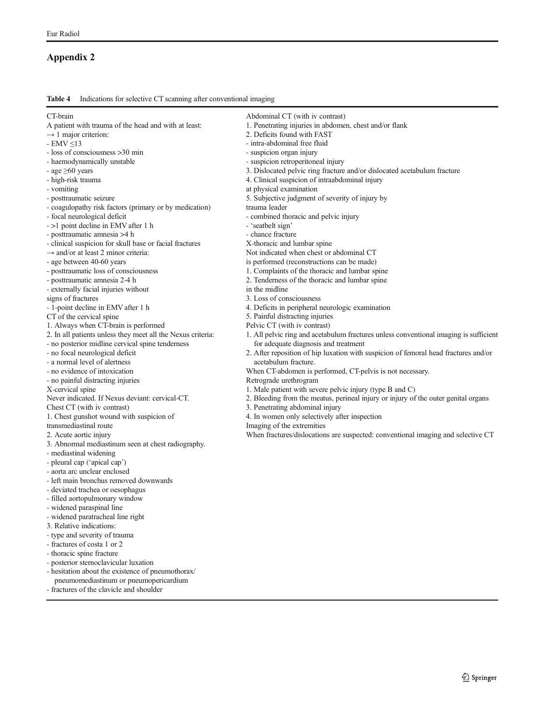## <span id="page-6-0"></span>Appendix 2

Table 4 Indications for selective CT scanning after conventional imaging

| CT-brain                                                    | Abdominal CT (with iv contrast)                                                       |
|-------------------------------------------------------------|---------------------------------------------------------------------------------------|
| A patient with trauma of the head and with at least:        | 1. Penetrating injuries in abdomen, chest and/or flank                                |
| $\rightarrow$ 1 major criterion:                            | 2. Deficits found with FAST                                                           |
| - $EMV \leq 13$                                             | - intra-abdominal free fluid                                                          |
| - loss of consciousness > 30 min                            | - suspicion organ injury                                                              |
| - haemodynamically unstable                                 | - suspicion retroperitoneal injury                                                    |
| - age $\geq 60$ years                                       | 3. Dislocated pelvic ring fracture and/or dislocated acetabulum fracture              |
| - high-risk trauma                                          | 4. Clinical suspicion of intraabdominal injury                                        |
| - vomiting                                                  | at physical examination                                                               |
| - posttraumatic seizure                                     | 5. Subjective judgment of severity of injury by                                       |
| - coagulopathy risk factors (primary or by medication)      | trauma leader                                                                         |
| - focal neurological deficit                                | - combined thoracic and pelvic injury                                                 |
| - >1 point decline in EMV after 1 h                         | - 'seatbelt sign'                                                                     |
| - posttraumatic amnesia >4 h                                | - chance fracture                                                                     |
| - clinical suspicion for skull base or facial fractures     | X-thoracic and lumbar spine                                                           |
| $\rightarrow$ and/or at least 2 minor criteria:             | Not indicated when chest or abdominal CT                                              |
| - age between 40-60 years                                   | is performed (reconstructions can be made)                                            |
| - posttraumatic loss of consciousness                       | 1. Complaints of the thoracic and lumbar spine                                        |
| - posttraumatic amnesia 2-4 h                               | 2. Tenderness of the thoracic and lumbar spine                                        |
| - externally facial injuries without                        | in the midline                                                                        |
| signs of fractures                                          | 3. Loss of consciousness                                                              |
| - 1-point decline in EMV after 1 h                          | 4. Deficits in peripheral neurologic examination                                      |
| CT of the cervical spine                                    | 5. Painful distracting injuries                                                       |
| 1. Always when CT-brain is performed                        | Pelvic CT (with iv contrast)                                                          |
| 2. In all patients unless they meet all the Nexus criteria: | 1. All pelvic ring and acetabulum fractures unless conventional imaging is sufficient |
| - no posterior midline cervical spine tenderness            | for adequate diagnosis and treatment                                                  |
| - no focal neurological deficit                             | 2. After reposition of hip luxation with suspicion of femoral head fractures and/or   |
| - a normal level of alertness                               | acetabulum fracture.                                                                  |
| - no evidence of intoxication                               | When CT-abdomen is performed, CT-pelvis is not necessary.                             |
| - no painful distracting injuries                           | Retrograde urethrogram                                                                |
| X-cervical spine                                            | 1. Male patient with severe pelvic injury (type B and C)                              |
| Never indicated. If Nexus deviant: cervical-CT.             | 2. Bleeding from the meatus, perineal injury or injury of the outer genital organs    |
| Chest CT (with iv contrast)                                 | 3. Penetrating abdominal injury                                                       |
| 1. Chest gunshot wound with suspicion of                    | 4. In women only selectively after inspection                                         |
| transmediastinal route                                      | Imaging of the extremities                                                            |
| 2. Acute aortic injury                                      | When fractures/dislocations are suspected: conventional imaging and selective CT      |
| 3. Abnormal mediastinum seen at chest radiography.          |                                                                                       |
| - mediastinal widening                                      |                                                                                       |
| - pleural cap ('apical cap')                                |                                                                                       |
| - aorta arc unclear enclosed                                |                                                                                       |
| - left main bronchus removed downwards                      |                                                                                       |
| - deviated trachea or oesophagus                            |                                                                                       |
| - filled aortopulmonary window                              |                                                                                       |
| - widened paraspinal line                                   |                                                                                       |
| - widened paratracheal line right                           |                                                                                       |
| 3. Relative indications:                                    |                                                                                       |
| - type and severity of trauma                               |                                                                                       |
| - fractures of costa 1 or 2                                 |                                                                                       |
| - thoracic spine fracture                                   |                                                                                       |
|                                                             |                                                                                       |
| - posterior sternoclavicular luxation                       |                                                                                       |
| - hesitation about the existence of pneumothorax/           |                                                                                       |
| pneumomediastinum or pneumopericardium                      |                                                                                       |
| - fractures of the clavicle and shoulder                    |                                                                                       |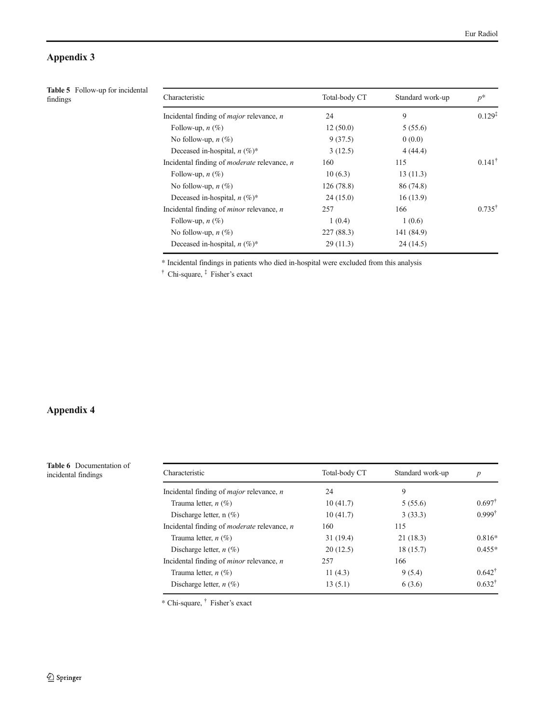## <span id="page-7-0"></span>Appendix 3

| <b>Table 5</b> Follow-up for incidental<br>findings | Characteristic                                            | Total-body CT | Standard work-up | $p^*$             |
|-----------------------------------------------------|-----------------------------------------------------------|---------------|------------------|-------------------|
|                                                     | Incidental finding of <i>major</i> relevance, <i>n</i>    | 24            | 9                | $0.129^{*}$       |
|                                                     | Follow-up, $n(\%)$                                        | 12(50.0)      | 5(55.6)          |                   |
|                                                     | No follow-up, $n$ (%)                                     | 9(37.5)       | 0(0.0)           |                   |
|                                                     | Deceased in-hospital, $n (\%)^*$                          | 3(12.5)       | 4(44.4)          |                   |
|                                                     | Incidental finding of <i>moderate</i> relevance, <i>n</i> | 160           | 115              | $0.141^{\dagger}$ |
|                                                     | Follow-up, $n(\%)$                                        | 10(6.3)       | 13(11.3)         |                   |
|                                                     | No follow-up, $n$ (%)                                     | 126(78.8)     | 86 (74.8)        |                   |
|                                                     | Deceased in-hospital, $n (\%)^*$                          | 24(15.0)      | 16(13.9)         |                   |
|                                                     | Incidental finding of $minor$ relevance, $n$              | 257           | 166              | $0.735^{\dagger}$ |
|                                                     | Follow-up, $n(\%)$                                        | 1(0.4)        | 1(0.6)           |                   |
|                                                     | No follow-up, $n$ (%)                                     | 227(88.3)     | 141 (84.9)       |                   |
|                                                     | Deceased in-hospital, $n (\%)^*$                          | 29(11.3)      | 24(14.5)         |                   |
|                                                     |                                                           |               |                  |                   |

\* Incidental findings in patients who died in-hospital were excluded from this analysis

† Chi-square, ‡ Fisher's exact

## Appendix 4

Table 6 Documentation of incidental findings

| Characteristic                                            | Total-body CT | Standard work-up | $\boldsymbol{p}$  |
|-----------------------------------------------------------|---------------|------------------|-------------------|
| Incidental finding of <i>major</i> relevance, <i>n</i>    | 24            | 9                |                   |
| Trauma letter, $n$ (%)                                    | 10(41.7)      | 5(55.6)          | $0.697^{\dagger}$ |
| Discharge letter, $n$ (%)                                 | 10(41.7)      | 3(33.3)          | $0.999^{\dagger}$ |
| Incidental finding of <i>moderate</i> relevance, <i>n</i> | 160           | 115              |                   |
| Trauma letter, $n$ (%)                                    | 31(19.4)      | 21(18.3)         | $0.816*$          |
| Discharge letter, $n(\%)$                                 | 20(12.5)      | 18 (15.7)        | $0.455*$          |
| Incidental finding of <i>minor</i> relevance, <i>n</i>    | 257           | 166              |                   |
| Trauma letter, $n$ (%)                                    | 11 $(4.3)$    | 9(5.4)           | $0.642^{\dagger}$ |
| Discharge letter, $n$ (%)                                 | 13(5.1)       | 6(3.6)           | $0.632^{\dagger}$ |

\* Chi-square, † Fisher's exact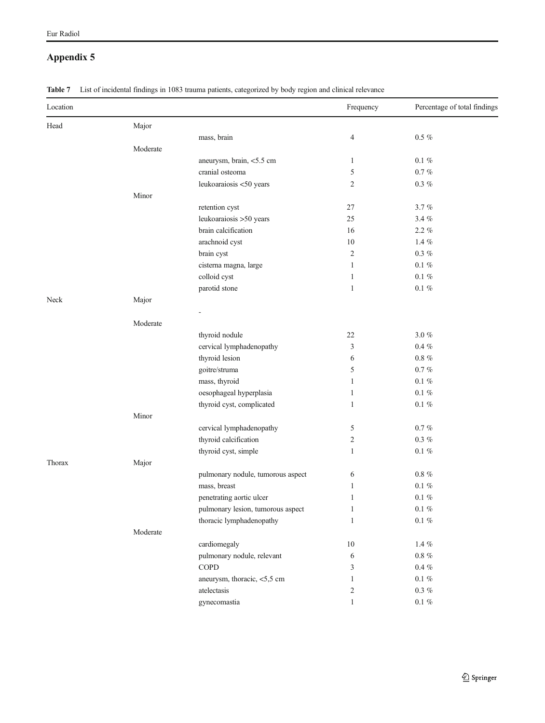## Appendix 5

<span id="page-8-0"></span>Eur Radiol

|  | Table 7 List of incidental findings in 1083 trauma patients, categorized by body region and clinical relevance |  |  |  |  |  |  |  |  |
|--|----------------------------------------------------------------------------------------------------------------|--|--|--|--|--|--|--|--|
|--|----------------------------------------------------------------------------------------------------------------|--|--|--|--|--|--|--|--|

| Location |          |                                   | Frequency      | Percentage of total findings |
|----------|----------|-----------------------------------|----------------|------------------------------|
| Head     | Major    |                                   |                |                              |
|          |          | mass, brain                       | 4              | $0.5~\%$                     |
|          | Moderate |                                   |                |                              |
|          |          | aneurysm, brain, <5.5 cm          | 1              | $0.1 \%$                     |
|          |          | cranial osteoma                   | 5              | $0.7~\%$                     |
|          |          | leukoaraiosis <50 years           | $\overline{c}$ | $0.3~\%$                     |
|          | Minor    |                                   |                |                              |
|          |          | retention cyst                    | 27             | 3.7%                         |
|          |          | leukoaraiosis >50 years           | 25             | $3.4~\%$                     |
|          |          | brain calcification               | 16             | $2.2 \%$                     |
|          |          | arachnoid cyst                    | $10\,$         | $1.4~\%$                     |
|          |          | brain cyst                        | $\overline{c}$ | $0.3~\%$                     |
|          |          | cisterna magna, large             | 1              | $0.1~\%$                     |
|          |          | colloid cyst                      | $\mathbf{1}$   | $0.1~\%$                     |
|          |          | parotid stone                     | $\mathbf{1}$   | $0.1~\%$                     |
| Neck     | Major    |                                   |                |                              |
|          |          |                                   |                |                              |
|          | Moderate |                                   |                |                              |
|          |          | thyroid nodule                    | 22             | $3.0~\%$                     |
|          |          | cervical lymphadenopathy          | 3              | $0.4~\%$                     |
|          |          | thyroid lesion                    | 6              | $0.8~\%$                     |
|          |          | goitre/struma                     | 5              | $0.7~\%$                     |
|          |          | mass, thyroid                     | 1              | $0.1~\%$                     |
|          |          | oesophageal hyperplasia           | 1              | $0.1~\%$                     |
|          |          | thyroid cyst, complicated         | 1              | $0.1~\%$                     |
|          | Minor    |                                   |                |                              |
|          |          | cervical lymphadenopathy          | 5              | $0.7~\%$                     |
|          |          | thyroid calcification             | 2              | $0.3~\%$                     |
|          |          | thyroid cyst, simple              | $\mathbf{1}$   | $0.1~\%$                     |
| Thorax   | Major    |                                   |                |                              |
|          |          | pulmonary nodule, tumorous aspect | 6              | $0.8~\%$                     |
|          |          | mass, breast                      | 1              | $0.1~\%$                     |
|          |          | penetrating aortic ulcer          | $\mathbf{1}$   | $0.1~\%$                     |
|          |          | pulmonary lesion, tumorous aspect | $\mathbf{1}$   | $0.1~\%$                     |
|          |          | thoracic lymphadenopathy          | $\mathbf{1}$   | $0.1~\%$                     |
|          | Moderate |                                   |                |                              |
|          |          | cardiomegaly                      | $10\,$         | $1.4~\%$                     |
|          |          | pulmonary nodule, relevant        | 6              | $0.8~\%$                     |
|          |          | <b>COPD</b>                       | 3              | $0.4~\%$                     |
|          |          | aneurysm, thoracic, <5,5 cm       | $\mathbf{1}$   | $0.1~\%$                     |
|          |          | atelectasis                       | $\overline{c}$ | $0.3~\%$                     |
|          |          | gynecomastia                      | $\mathbf{1}$   | $0.1~\%$                     |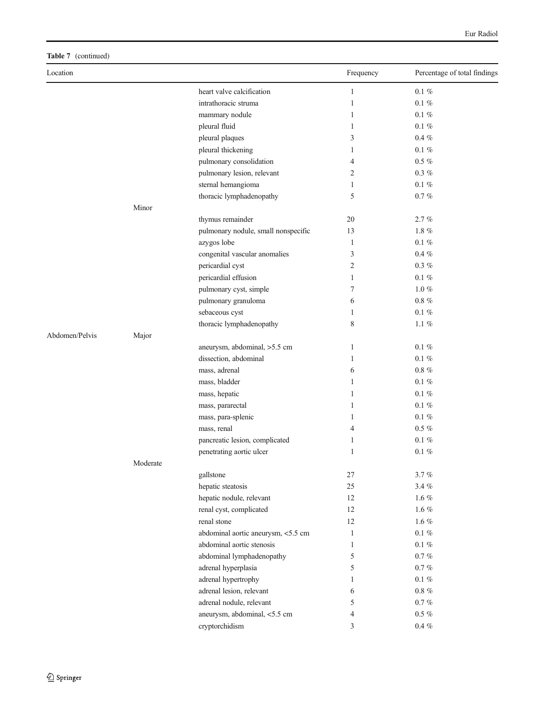## Table 7 (continued)

| Location       |          |                                     | Frequency    | Percentage of total findings |
|----------------|----------|-------------------------------------|--------------|------------------------------|
|                |          | heart valve calcification           | $\mathbf{1}$ | $0.1~\%$                     |
|                |          | intrathoracic struma                | $\mathbf{1}$ | $0.1 \%$                     |
|                |          | mammary nodule                      | $\mathbf{1}$ | $0.1~\%$                     |
|                |          | pleural fluid                       | 1            | $0.1~\%$                     |
|                |          | pleural plaques                     | 3            | $0.4 \%$                     |
|                |          | pleural thickening                  | $\mathbf{1}$ | $0.1 \%$                     |
|                |          | pulmonary consolidation             | 4            | $0.5~\%$                     |
|                |          | pulmonary lesion, relevant          | 2            | $0.3~\%$                     |
|                |          | sternal hemangioma                  | $\mathbf{1}$ | $0.1~\%$                     |
|                |          | thoracic lymphadenopathy            | 5            | $0.7~\%$                     |
|                | Minor    |                                     |              |                              |
|                |          | thymus remainder                    | 20           | 2.7%                         |
|                |          | pulmonary nodule, small nonspecific | 13           | $1.8~\%$                     |
|                |          | azygos lobe                         | 1            | $0.1~\%$                     |
|                |          | congenital vascular anomalies       | 3            | $0.4 \%$                     |
|                |          | pericardial cyst                    | 2            | $0.3~\%$                     |
|                |          | pericardial effusion                | $\mathbf{1}$ | $0.1 \%$                     |
|                |          | pulmonary cyst, simple              | 7            | $1.0~\%$                     |
|                |          | pulmonary granuloma                 | 6            | $0.8\%$                      |
|                |          | sebaceous cyst                      | $\mathbf{1}$ | $0.1~\%$                     |
|                |          | thoracic lymphadenopathy            | 8            | 1.1 $%$                      |
| Abdomen/Pelvis | Major    |                                     |              |                              |
|                |          | aneurysm, abdominal, >5.5 cm        | $\mathbf{1}$ | $0.1~\%$                     |
|                |          | dissection, abdominal               | 1            | $0.1~\%$                     |
|                |          | mass, adrenal                       | 6            | $0.8~\%$                     |
|                |          | mass, bladder                       | $\mathbf{1}$ | $0.1 \%$                     |
|                |          | mass, hepatic                       | $\mathbf{1}$ | $0.1 \%$                     |
|                |          | mass, pararectal                    | $\mathbf{1}$ | $0.1~\%$                     |
|                |          | mass, para-splenic                  | 1            | $0.1~\%$                     |
|                |          | mass, renal                         | 4            | $0.5~\%$                     |
|                |          | pancreatic lesion, complicated      | 1            | $0.1~\%$                     |
|                |          | penetrating aortic ulcer            | 1            | $0.1 \%$                     |
|                | Moderate |                                     |              |                              |
|                |          | gallstone                           | 27           | $3.7~\%$                     |
|                |          | hepatic steatosis                   | 25           | 3.4%                         |
|                |          | hepatic nodule, relevant            | 12           | $1.6~\%$                     |
|                |          | renal cyst, complicated             | 12           | $1.6~\%$                     |
|                |          | renal stone                         | 12           | $1.6~\%$                     |
|                |          | abdominal aortic aneurysm, <5.5 cm  | $\mathbf{1}$ | $0.1~\%$                     |
|                |          | abdominal aortic stenosis           | $\mathbf{1}$ | $0.1~\%$                     |
|                |          | abdominal lymphadenopathy           | 5            | $0.7~\%$                     |
|                |          | adrenal hyperplasia                 | 5            | $0.7~\%$                     |
|                |          | adrenal hypertrophy                 | 1            | $0.1~\%$                     |
|                |          | adrenal lesion, relevant            | 6            | $0.8~\%$                     |
|                |          | adrenal nodule, relevant            | 5            | $0.7~\%$                     |
|                |          | aneurysm, abdominal, <5.5 cm        | 4            | $0.5~\%$                     |
|                |          | cryptorchidism                      | 3            | $0.4~\%$                     |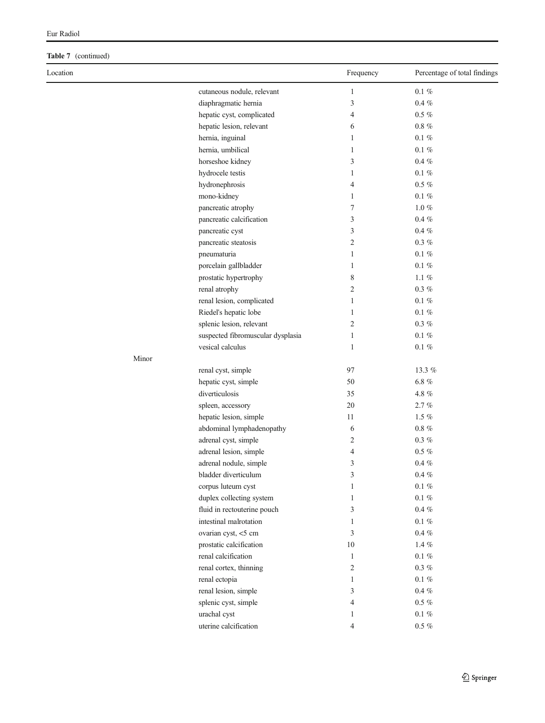## Table 7 (continued)

| Location |                                   | Frequency      | Percentage of total findings |
|----------|-----------------------------------|----------------|------------------------------|
|          | cutaneous nodule, relevant        | $\mathbf{1}$   | $0.1~\%$                     |
|          | diaphragmatic hernia              | 3              | $0.4~\%$                     |
|          | hepatic cyst, complicated         | 4              | $0.5~\%$                     |
|          | hepatic lesion, relevant          | 6              | $0.8~\%$                     |
|          | hernia, inguinal                  | 1              | $0.1 \%$                     |
|          | hernia, umbilical                 | 1              | $0.1 \%$                     |
|          | horseshoe kidney                  | 3              | $0.4 \%$                     |
|          | hydrocele testis                  | $\mathbf{1}$   | $0.1~\%$                     |
|          | hydronephrosis                    | 4              | $0.5~\%$                     |
|          | mono-kidney                       | 1              | $0.1 \%$                     |
|          | pancreatic atrophy                | 7              | $1.0~\%$                     |
|          | pancreatic calcification          | 3              | $0.4 \%$                     |
|          | pancreatic cyst                   | 3              | $0.4 \%$                     |
|          | pancreatic steatosis              | 2              | $0.3~\%$                     |
|          | pneumaturia                       | $\mathbf{1}$   | $0.1 \%$                     |
|          | porcelain gallbladder             | $\mathbf{1}$   | $0.1~\%$                     |
|          | prostatic hypertrophy             | 8              | $1.1~\%$                     |
|          | renal atrophy                     | 2              | $0.3~\%$                     |
|          | renal lesion, complicated         | $\mathbf{1}$   | $0.1~\%$                     |
|          | Riedel's hepatic lobe             | 1              | $0.1~\%$                     |
|          | splenic lesion, relevant          | 2              | $0.3~\%$                     |
|          | suspected fibromuscular dysplasia | 1              | $0.1 \%$                     |
|          | vesical calculus                  | 1              | $0.1~\%$                     |
| Minor    |                                   |                |                              |
|          | renal cyst, simple                | 97             | 13.3 %                       |
|          | hepatic cyst, simple              | 50             | $6.8~\%$                     |
|          | diverticulosis                    | 35             | $4.8~\%$                     |
|          | spleen, accessory                 | 20             | 2.7%                         |
|          | hepatic lesion, simple            | 11             | $1.5\ \%$                    |
|          | abdominal lymphadenopathy         | 6              | $0.8~\%$                     |
|          | adrenal cyst, simple              | 2              | $0.3~\%$                     |
|          | adrenal lesion, simple            | 4              | $0.5~\%$                     |
|          | adrenal nodule, simple            | 3              | $0.4~\%$                     |
|          | bladder diverticulum              | 3              | $0.4 \%$                     |
|          | corpus luteum cyst                | 1              | $0.1~\%$                     |
|          | duplex collecting system          | 1              | $0.1~\%$                     |
|          | fluid in rectouterine pouch       | 3              | $0.4~\%$                     |
|          | intestinal malrotation            | 1              | $0.1~\%$                     |
|          | ovarian cyst, <5 cm               | 3              | $0.4~\%$                     |
|          | prostatic calcification           | $10\,$         | $1.4~\%$                     |
|          | renal calcification               | $\mathbf{1}$   | $0.1~\%$                     |
|          | renal cortex, thinning            | $\overline{c}$ | $0.3~\%$                     |
|          | renal ectopia                     | 1              | $0.1~\%$                     |
|          | renal lesion, simple              | 3              | $0.4~\%$                     |
|          | splenic cyst, simple              | 4              | $0.5~\%$                     |
|          | urachal cyst                      | 1              | $0.1~\%$                     |
|          | uterine calcification             | 4              | $0.5~\%$                     |
|          |                                   |                |                              |